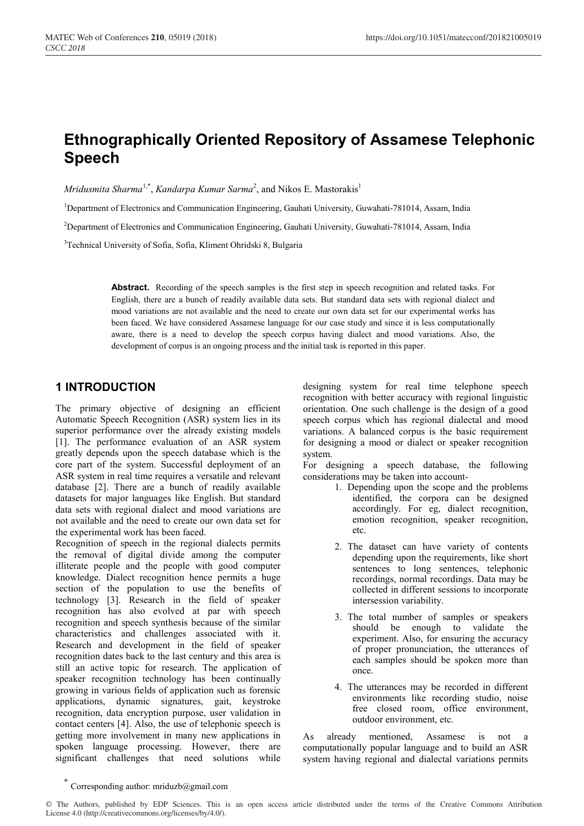# **Ethnographically Oriented Repository of Assamese Telephonic Speech**

*Mridusmita Sharma<sup>1,\*</sup>, Kandarpa Kumar Sarma<sup>2</sup>, and Nikos E. Mastorakis<sup>1</sup>* 

<sup>1</sup>Department of Electronics and Communication Engineering, Gauhati University, Guwahati-781014, Assam, India

<sup>2</sup>Department of Electronics and Communication Engineering, Gauhati University, Guwahati-781014, Assam, India

<sup>3</sup>Technical University of Sofia, Sofia, Kliment Ohridski 8, Bulgaria

Abstract. Recording of the speech samples is the first step in speech recognition and related tasks. For English, there are a bunch of readily available data sets. But standard data sets with regional dialect and mood variations are not available and the need to create our own data set for our experimental works has been faced. We have considered Assamese language for our case study and since it is less computationally aware, there is a need to develop the speech corpus having dialect and mood variations. Also, the development of corpus is an ongoing process and the initial task is reported in this paper.

### **1 INTRODUCTION**

The primary objective of designing an efficient Automatic Speech Recognition (ASR) system lies in its superior performance over the already existing models [1]. The performance evaluation of an ASR system greatly depends upon the speech database which is the core part of the system. Successful deployment of an ASR system in real time requires a versatile and relevant database [2]. There are a bunch of readily available datasets for major languages like English. But standard data sets with regional dialect and mood variations are not available and the need to create our own data set for the experimental work has been faced.

Recognition of speech in the regional dialects permits the removal of digital divide among the computer illiterate people and the people with good computer knowledge. Dialect recognition hence permits a huge section of the population to use the benefits of technology [3]. Research in the field of speaker recognition has also evolved at par with speech recognition and speech synthesis because of the similar characteristics and challenges associated with it. Research and development in the field of speaker recognition dates back to the last century and this area is still an active topic for research. The application of speaker recognition technology has been continually growing in various fields of application such as forensic applications, dynamic signatures, gait, keystroke recognition, data encryption purpose, user validation in contact centers [4]. Also, the use of telephonic speech is getting more involvement in many new applications in spoken language processing. However, there are significant challenges that need solutions while designing system for real time telephone speech recognition with better accuracy with regional linguistic orientation. One such challenge is the design of a good speech corpus which has regional dialectal and mood variations. A balanced corpus is the basic requirement for designing a mood or dialect or speaker recognition system.

For designing a speech database, the following considerations may be taken into account-

- 1. Depending upon the scope and the problems identified, the corpora can be designed accordingly. For eg, dialect recognition, emotion recognition, speaker recognition, etc.
- 2. The dataset can have variety of contents depending upon the requirements, like short sentences to long sentences, telephonic recordings, normal recordings. Data may be collected in different sessions to incorporate intersession variability.
- 3. The total number of samples or speakers should be enough to validate the experiment. Also, for ensuring the accuracy of proper pronunciation, the utterances of each samples should be spoken more than once.
- 4. The utterances may be recorded in different environments like recording studio, noise free closed room, office environment, outdoor environment, etc.

As already mentioned, Assamese is not a computationally popular language and to build an ASR system having regional and dialectal variations permits

<sup>©</sup> The Authors, published by EDP Sciences. This is an open access article distributed under the terms of the Creative Commons Attribution License 4.0 (http://creativecommons.org/licenses/by/4.0/).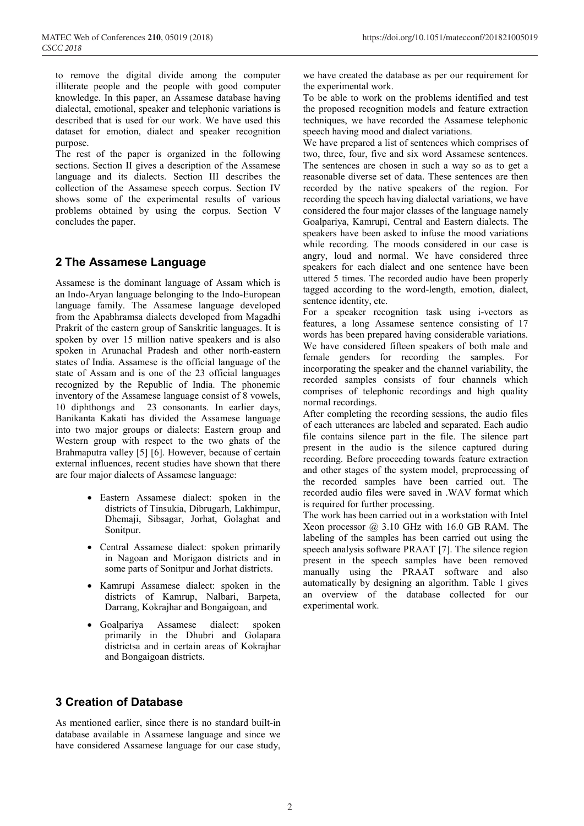to remove the digital divide among the computer illiterate people and the people with good computer knowledge. In this paper, an Assamese database having dialectal, emotional, speaker and telephonic variations is described that is used for our work. We have used this dataset for emotion, dialect and speaker recognition purpose.

The rest of the paper is organized in the following sections. Section II gives a description of the Assamese language and its dialects. Section III describes the collection of the Assamese speech corpus. Section IV shows some of the experimental results of various problems obtained by using the corpus. Section V concludes the paper.

## **2 The Assamese Language**

Assamese is the dominant language of Assam which is an Indo-Aryan language belonging to the Indo-European language family. The Assamese language developed from the Apabhramsa dialects developed from Magadhi Prakrit of the eastern group of Sanskritic languages. It is spoken by over 15 million native speakers and is also spoken in Arunachal Pradesh and other north-eastern states of India. Assamese is the official language of the state of Assam and is one of the 23 official languages recognized by the Republic of India. The phonemic inventory of the Assamese language consist of 8 vowels, 10 diphthongs and 23 consonants. In earlier days, Banikanta Kakati has divided the Assamese language into two major groups or dialects: Eastern group and Western group with respect to the two ghats of the Brahmaputra valley [5] [6]. However, because of certain external influences, recent studies have shown that there are four major dialects of Assamese language:

- Eastern Assamese dialect: spoken in the districts of Tinsukia, Dibrugarh, Lakhimpur, Dhemaji, Sibsagar, Jorhat, Golaghat and Sonitpur.
- Central Assamese dialect: spoken primarily in Nagoan and Morigaon districts and in some parts of Sonitpur and Jorhat districts.
- Kamrupi Assamese dialect: spoken in the districts of Kamrup, Nalbari, Barpeta, Darrang, Kokrajhar and Bongaigoan, and
- Goalpariya Assamese dialect: spoken primarily in the Dhubri and Golapara districtsa and in certain areas of Kokrajhar and Bongaigoan districts.

#### we have created the database as per our requirement for the experimental work.

To be able to work on the problems identified and test the proposed recognition models and feature extraction techniques, we have recorded the Assamese telephonic speech having mood and dialect variations.

We have prepared a list of sentences which comprises of two, three, four, five and six word Assamese sentences. The sentences are chosen in such a way so as to get a reasonable diverse set of data. These sentences are then recorded by the native speakers of the region. For recording the speech having dialectal variations, we have considered the four major classes of the language namely Goalpariya, Kamrupi, Central and Eastern dialects. The speakers have been asked to infuse the mood variations while recording. The moods considered in our case is angry, loud and normal. We have considered three speakers for each dialect and one sentence have been uttered 5 times. The recorded audio have been properly tagged according to the word-length, emotion, dialect, sentence identity, etc.

For a speaker recognition task using i-vectors as features, a long Assamese sentence consisting of 17 words has been prepared having considerable variations. We have considered fifteen speakers of both male and female genders for recording the samples. For incorporating the speaker and the channel variability, the recorded samples consists of four channels which comprises of telephonic recordings and high quality normal recordings.

After completing the recording sessions, the audio files of each utterances are labeled and separated. Each audio file contains silence part in the file. The silence part present in the audio is the silence captured during recording. Before proceeding towards feature extraction and other stages of the system model, preprocessing of the recorded samples have been carried out. The recorded audio files were saved in .WAV format which is required for further processing.

The work has been carried out in a workstation with Intel Xeon processor  $(a)$  3.10 GHz with 16.0 GB RAM. The labeling of the samples has been carried out using the speech analysis software PRAAT [7]. The silence region present in the speech samples have been removed manually using the PRAAT software and also automatically by designing an algorithm. Table 1 gives an overview of the database collected for our experimental work.

## **3 Creation of Database**

As mentioned earlier, since there is no standard built-in database available in Assamese language and since we have considered Assamese language for our case study,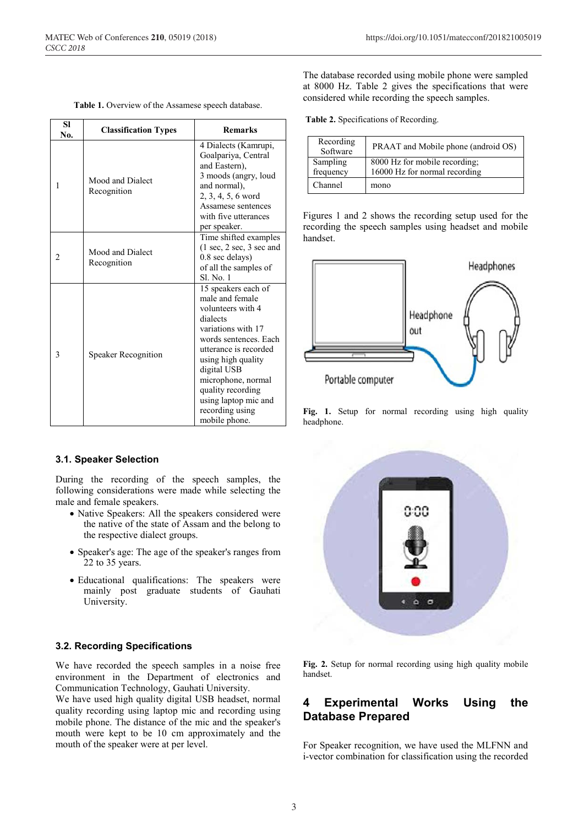| <b>SI</b><br>No. | <b>Classification Types</b>     | <b>Remarks</b>                                                                                                                                                                                                                                                                              |  |
|------------------|---------------------------------|---------------------------------------------------------------------------------------------------------------------------------------------------------------------------------------------------------------------------------------------------------------------------------------------|--|
| 1                | Mood and Dialect<br>Recognition | 4 Dialects (Kamrupi,<br>Goalpariya, Central<br>and Eastern),<br>3 moods (angry, loud<br>and normal).<br>$2, 3, 4, 5, 6$ word<br>Assamese sentences<br>with five utterances<br>per speaker.                                                                                                  |  |
| 2                | Mood and Dialect<br>Recognition | Time shifted examples<br>$(1 \text{ sec}, 2 \text{ sec}, 3 \text{ sec}$ and<br>0.8 sec delays)<br>of all the samples of<br>Sl. No. 1                                                                                                                                                        |  |
| 3                | <b>Speaker Recognition</b>      | 15 speakers each of<br>male and female<br>volunteers with 4<br>dialects<br>variations with 17<br>words sentences. Each<br>utterance is recorded<br>using high quality<br>digital USB<br>microphone, normal<br>quality recording<br>using laptop mic and<br>recording using<br>mobile phone. |  |

**Table 1.** Overview of the Assamese speech database.

#### **3.1. Speaker Selection**

During the recording of the speech samples, the following considerations were made while selecting the male and female speakers.

- Native Speakers: All the speakers considered were the native of the state of Assam and the belong to the respective dialect groups.
- Speaker's age: The age of the speaker's ranges from 22 to 35 years.
- Educational qualifications: The speakers were mainly post graduate students of Gauhati University.

#### **3.2. Recording Specifications**

We have recorded the speech samples in a noise free environment in the Department of electronics and Communication Technology, Gauhati University.

We have used high quality digital USB headset, normal quality recording using laptop mic and recording using mobile phone. The distance of the mic and the speaker's mouth were kept to be 10 cm approximately and the mouth of the speaker were at per level.

The database recorded using mobile phone were sampled at 8000 Hz. Table 2 gives the specifications that were considered while recording the speech samples.

**Table 2.** Specifications of Recording.

| Recording<br>Software | PRAAT and Mobile phone (android OS)                            |
|-----------------------|----------------------------------------------------------------|
| Sampling<br>frequency | 8000 Hz for mobile recording;<br>16000 Hz for normal recording |
| Channel               | mono                                                           |

Figures 1 and 2 shows the recording setup used for the recording the speech samples using headset and mobile handset.



**Fig. 1.** Setup for normal recording using high quality headphone.



**Fig. 2.** Setup for normal recording using high quality mobile handset.

## **4 Experimental Works Using the Database Prepared**

For Speaker recognition, we have used the MLFNN and i-vector combination for classification using the recorded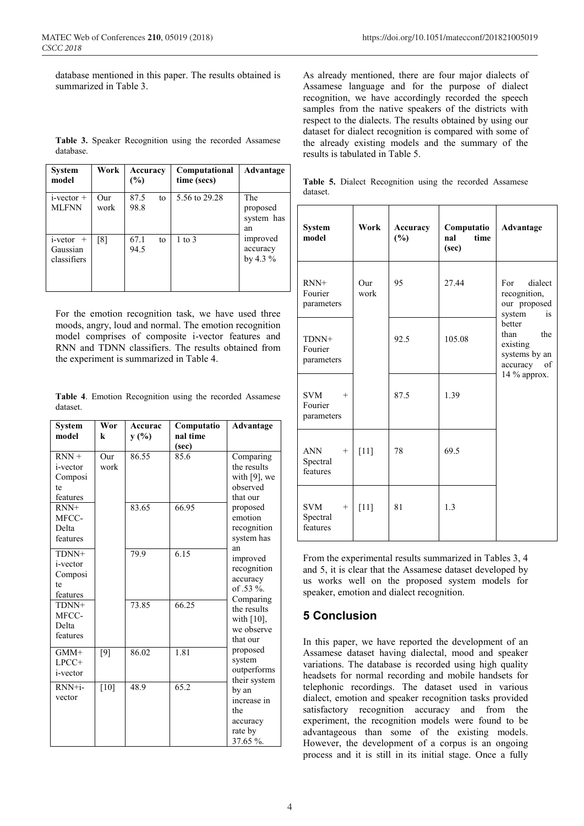database mentioned in this paper. The results obtained is summarized in Table 3.

|           | <b>Table 3.</b> Speaker Recognition using the recorded Assamese |  |  |
|-----------|-----------------------------------------------------------------|--|--|
| database. |                                                                 |  |  |

| <b>System</b><br>model                            | Work        | Accuracy<br>(%)    | Computational<br>time (secs) | Advantage                           |
|---------------------------------------------------|-------------|--------------------|------------------------------|-------------------------------------|
| $i$ -vector $+$<br><b>MLFNN</b>                   | Our<br>work | 87.5<br>to<br>98.8 | 5.56 to 29.28                | The<br>proposed<br>system has<br>an |
| <i>i</i> -vetor<br>$+$<br>Gaussian<br>classifiers | [8]         | 67.1<br>to<br>94.5 | $1$ to $3$                   | improved<br>accuracy<br>by 4.3 $%$  |

For the emotion recognition task, we have used three moods, angry, loud and normal. The emotion recognition model comprises of composite i-vector features and RNN and TDNN classifiers. The results obtained from the experiment is summarized in Table 4.

**Table 4**. Emotion Recognition using the recorded Assamese dataset.

| <b>System</b><br>model                                   | Wor<br>k        | Accurac<br>y(%) | Computatio<br>nal time<br>(sec) | Advantage                                                                                                           |  |
|----------------------------------------------------------|-----------------|-----------------|---------------------------------|---------------------------------------------------------------------------------------------------------------------|--|
| $RNN +$<br><i>i</i> -vector<br>Composi<br>te<br>features | Our<br>work     | 86.55           | 85.6                            | Comparing<br>the results<br>with $[9]$ , we<br>observed<br>that our                                                 |  |
| $RNN+$<br>MFCC-<br>Delta<br>features                     |                 | 83.65           | 66.95                           | proposed<br>emotion<br>recognition<br>system has                                                                    |  |
| TDNN+<br>i-vector<br>Composi<br>te<br>features           |                 | 79.9            | 6.15                            | an<br>improved<br>recognition<br>accuracy<br>of .53 %.                                                              |  |
| TDNN+<br>MFCC-<br>Delta<br>features                      |                 | 73.85           | 66.25                           | Comparing<br>the results<br>with $[10]$ ,<br>we observe<br>that our                                                 |  |
| $GMM+$<br>LPCC+<br><i>i</i> -vector                      | [9]             | 86.02           | 1.81                            | proposed<br>system<br>outperforms<br>their system<br>by an<br>increase in<br>the<br>accuracy<br>rate by<br>37.65 %. |  |
| $RNN+i-$<br>vector                                       | $\overline{10}$ | 48.9            | 65.2                            |                                                                                                                     |  |

As already mentioned, there are four major dialects of Assamese language and for the purpose of dialect recognition, we have accordingly recorded the speech samples from the native speakers of the districts with respect to the dialects. The results obtained by using our dataset for dialect recognition is compared with some of the already existing models and the summary of the results is tabulated in Table 5.

|          | <b>Table 5.</b> Dialect Recognition using the recorded Assamese |  |  |
|----------|-----------------------------------------------------------------|--|--|
| dataset. |                                                                 |  |  |

| <b>System</b><br>model                     | Work        | Accuracy<br>(%) | Computatio<br>nal<br>time<br>(sec) | Advantage                                                                                                                                           |  |
|--------------------------------------------|-------------|-----------------|------------------------------------|-----------------------------------------------------------------------------------------------------------------------------------------------------|--|
| $RNN+$<br>Fourier<br>parameters            | Our<br>work | 95              | 27.44                              | dialect<br>For<br>recognition,<br>our proposed<br>system<br>is<br>better<br>than<br>the<br>existing<br>systems by an<br>accuracy of<br>14 % approx. |  |
| TDNN+<br>Fourier<br>parameters             |             | 92.5            | 105.08                             |                                                                                                                                                     |  |
| <b>SVM</b><br>$+$<br>Fourier<br>parameters |             | 87.5            | 1.39                               |                                                                                                                                                     |  |
| <b>ANN</b><br>$+$<br>Spectral<br>features  | $[11]$      | 78              | 69.5                               |                                                                                                                                                     |  |
| <b>SVM</b><br>$+$<br>Spectral<br>features  | $[11]$      | 81              | 1.3                                |                                                                                                                                                     |  |

From the experimental results summarized in Tables 3, 4 and 5, it is clear that the Assamese dataset developed by us works well on the proposed system models for speaker, emotion and dialect recognition.

## **5 Conclusion**

In this paper, we have reported the development of an Assamese dataset having dialectal, mood and speaker variations. The database is recorded using high quality headsets for normal recording and mobile handsets for telephonic recordings. The dataset used in various dialect, emotion and speaker recognition tasks provided satisfactory recognition accuracy and from the experiment, the recognition models were found to be advantageous than some of the existing models. However, the development of a corpus is an ongoing process and it is still in its initial stage. Once a fully